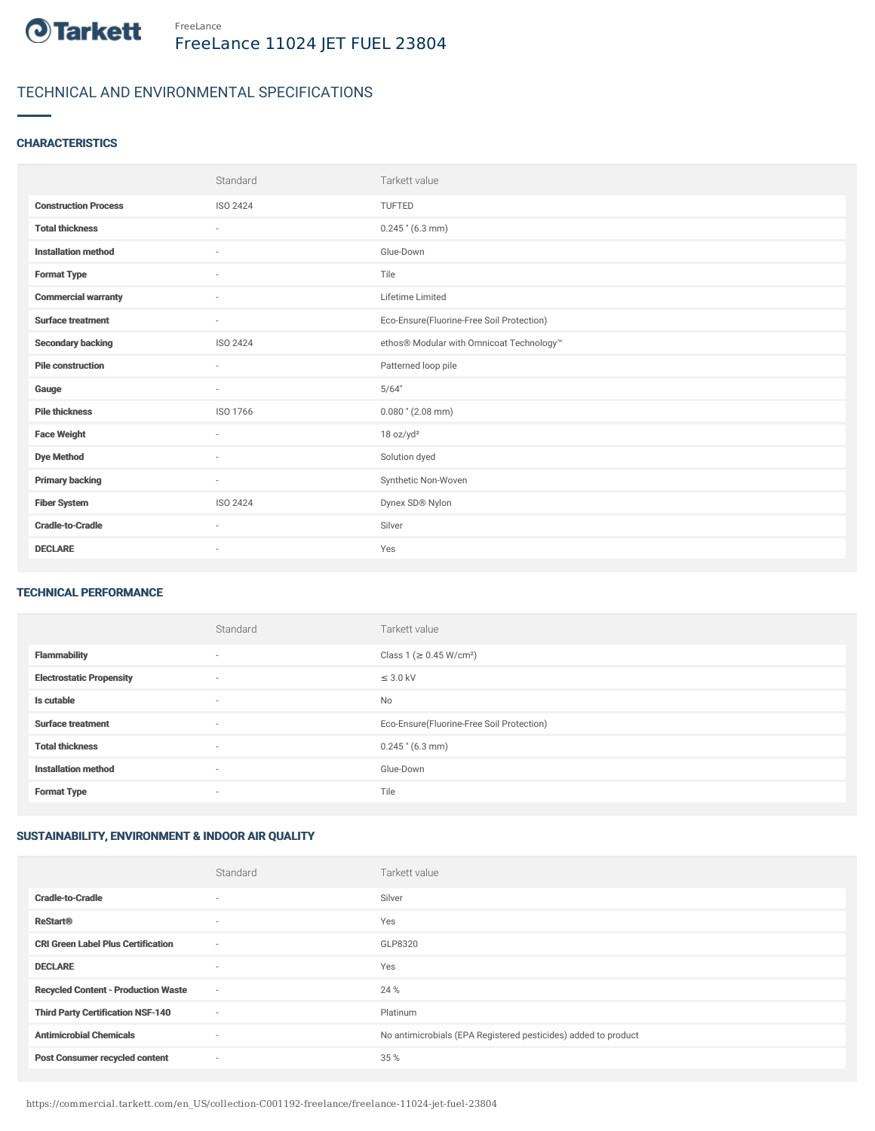

# TECHNICAL AND ENVIRONMENTAL SPECIFICATIONS

### **CHARACTERISTICS**

|                             | Standard                 | Tarkett value                             |
|-----------------------------|--------------------------|-------------------------------------------|
| <b>Construction Process</b> | ISO 2424                 | TUFTED                                    |
| <b>Total thickness</b>      | $\sim$                   | $0.245$ " (6.3 mm)                        |
| <b>Installation method</b>  | $\sim$                   | Glue-Down                                 |
| <b>Format Type</b>          | $\sim$                   | Tile                                      |
| <b>Commercial warranty</b>  | $\overline{\phantom{a}}$ | Lifetime Limited                          |
| <b>Surface treatment</b>    | $\sim$                   | Eco-Ensure(Fluorine-Free Soil Protection) |
| <b>Secondary backing</b>    | ISO 2424                 | ethos® Modular with Omnicoat Technology™  |
| <b>Pile construction</b>    | $\sim$                   | Patterned loop pile                       |
| Gauge                       | $\overline{\phantom{a}}$ | 5/64"                                     |
| <b>Pile thickness</b>       | ISO 1766                 | $0.080$ " (2.08 mm)                       |
| <b>Face Weight</b>          | $\sim$                   | 18 oz/yd <sup>2</sup>                     |
| <b>Dye Method</b>           | $\sim$                   | Solution dyed                             |
| <b>Primary backing</b>      | $\sim$                   | Synthetic Non-Woven                       |
| <b>Fiber System</b>         | ISO 2424                 | Dynex SD® Nylon                           |
| <b>Cradle-to-Cradle</b>     | $\sim$                   | Silver                                    |
| <b>DECLARE</b>              | $\sim$                   | Yes                                       |

#### TECHNICAL PERFORMANCE

|                                 | Standard | Tarkett value                             |
|---------------------------------|----------|-------------------------------------------|
| <b>Flammability</b>             | $\sim$   | Class 1 (≥ 0.45 W/cm <sup>2</sup> )       |
| <b>Electrostatic Propensity</b> | ٠        | $\leq$ 3.0 kV                             |
| Is cutable                      | $\sim$   | No                                        |
| <b>Surface treatment</b>        | $\sim$   | Eco-Ensure(Fluorine-Free Soil Protection) |
| <b>Total thickness</b>          | ٠        | $0.245$ " (6.3 mm)                        |
| <b>Installation method</b>      | $\sim$   | Glue-Down                                 |
| <b>Format Type</b>              | ٠        | Tile                                      |

## SUSTAINABILITY, ENVIRONMENT & INDOOR AIR QUALITY

|                                            | Standard                 | Tarkett value                                                  |
|--------------------------------------------|--------------------------|----------------------------------------------------------------|
| <b>Cradle-to-Cradle</b>                    |                          | Silver                                                         |
| <b>ReStart®</b>                            | $\overline{\phantom{a}}$ | Yes                                                            |
| <b>CRI Green Label Plus Certification</b>  | ٠                        | GLP8320                                                        |
| <b>DECLARE</b>                             | $\overline{\phantom{a}}$ | Yes                                                            |
| <b>Recycled Content - Production Waste</b> | $\sim$                   | 24 %                                                           |
| <b>Third Party Certification NSF-140</b>   | ٠                        | Platinum                                                       |
| <b>Antimicrobial Chemicals</b>             | ٠                        | No antimicrobials (EPA Registered pesticides) added to product |
| <b>Post Consumer recycled content</b>      | $\overline{\phantom{a}}$ | 35 %                                                           |